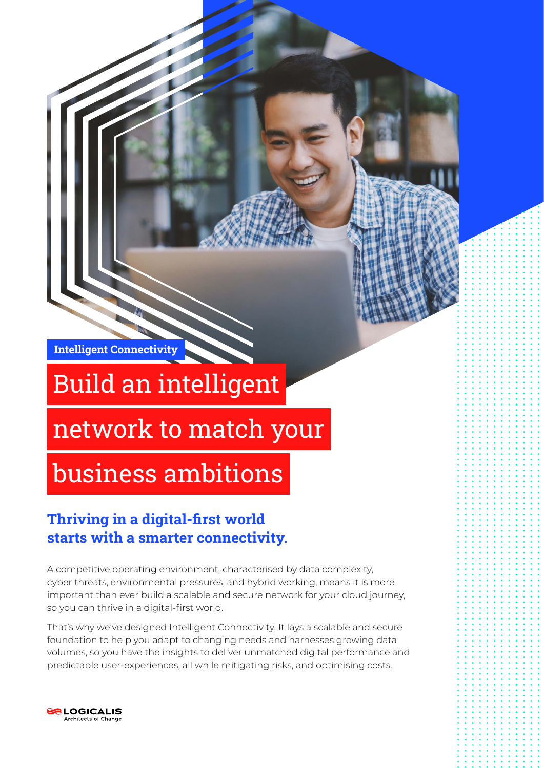Intelligent Connectivity

# Build an intelligent

## network to match your

## business ambitions

### Thriving in a digital-first world starts with a smarter connectivity.

A competitive operating environment, characterised by data complexity, cyber threats, environmental pressures, and hybrid working, means it is more important than ever build a scalable and secure network for your cloud journey, so you can thrive in a digital-first world.

That's why we've designed Intelligent Connectivity. It lays a scalable and secure foundation to help you adapt to changing needs and harnesses growing data volumes, so you have the insights to deliver unmatched digital performance and predictable user-experiences, all while mitigating risks, and optimising costs.

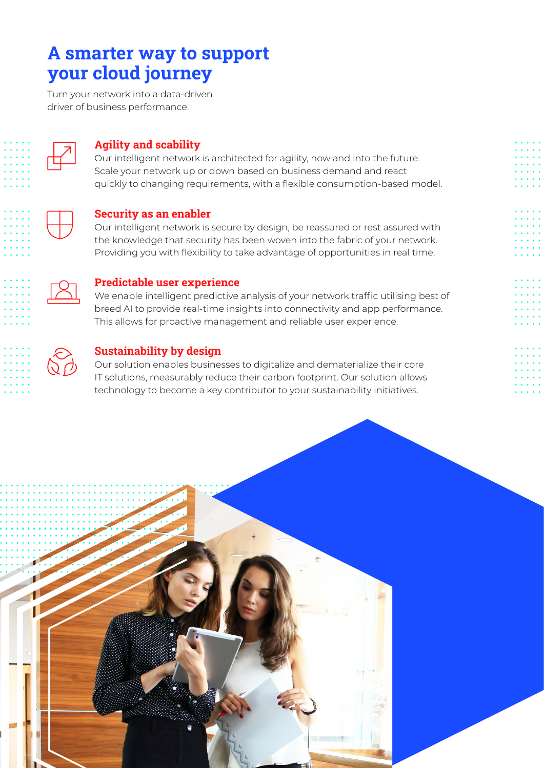### A smarter way to support your cloud journey

Turn your network into a data-driven driver of business performance.



#### Agility and scability

Our intelligent network is architected for agility, now and into the future. Scale your network up or down based on business demand and react quickly to changing requirements, with a flexible consumption-based model.



#### Security as an enabler

Our intelligent network is secure by design, be reassured or rest assured with the knowledge that security has been woven into the fabric of your network. Providing you with flexibility to take advantage of opportunities in real time.



#### Predictable user experience

We enable intelligent predictive analysis of your network traffic utilising best of breed AI to provide real-time insights into connectivity and app performance. This allows for proactive management and reliable user experience.



#### Sustainability by design

Our solution enables businesses to digitalize and dematerialize their core IT solutions, measurably reduce their carbon footprint. Our solution allows technology to become a key contributor to your sustainability initiatives.

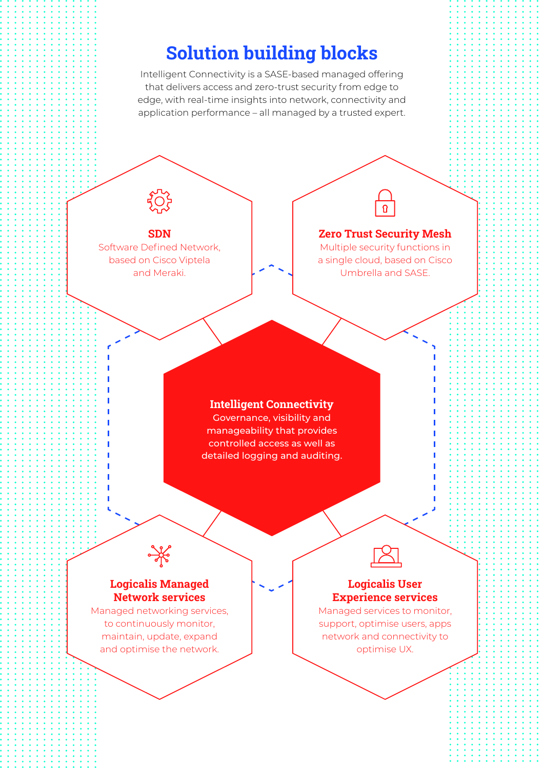### Solution building blocks

Intelligent Connectivity is a SASE-based managed offering that delivers access and zero-trust security from edge to edge, with real-time insights into network, connectivity and application performance – all managed by a trusted expert.

SDN Software Defined Network, based on Cisco Viptela and Meraki.

#### Zero Trust Security Mesh

Multiple security functions in a single cloud, based on Cisco Umbrella and SASE.

#### Intelligent Connectivity

Governance, visibility and manageability that provides controlled access as well as detailed logging and auditing.

#### Logicalis Managed Network services

Managed networking services, to continuously monitor, maintain, update, expand and optimise the network.

#### Logicalis User Experience services

Managed services to monitor, support, optimise users, apps network and connectivity to optimise UX.